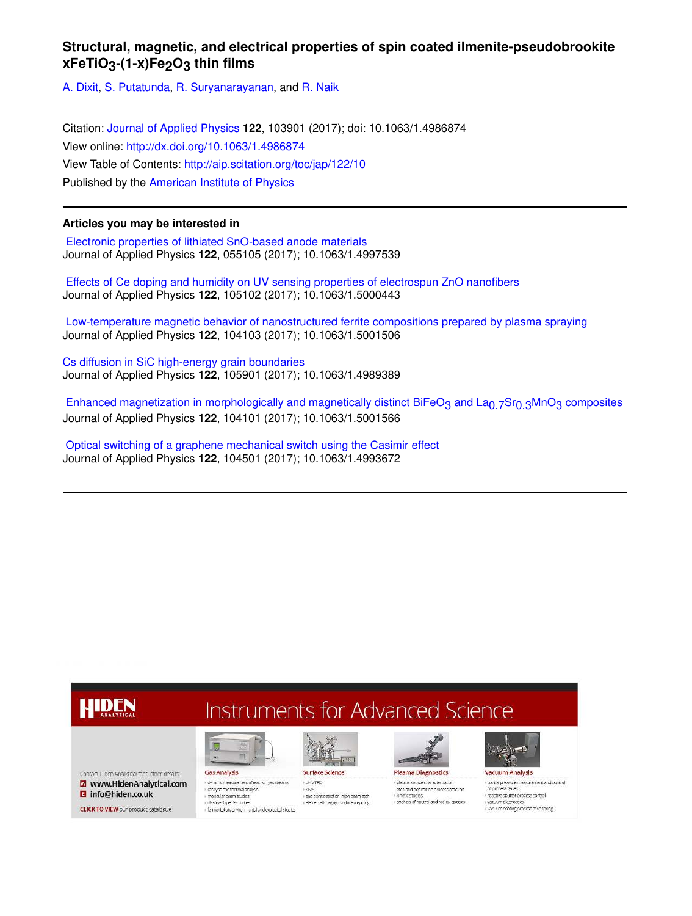# **Structural, magnetic, and electrical properties of spin coated ilmenite-pseudobrookite xFeTiO<sub>3</sub>-(1-x)Fe<sub>2</sub>O<sub>3</sub> thin films**

A. Dixit, S. Putatunda, R. Suryanarayanan, and R. Naik

Citation: Journal of Applied Physics **122**, 103901 (2017); doi: 10.1063/1.4986874 View online: http://dx.doi.org/10.1063/1.4986874 View Table of Contents: http://aip.scitation.org/toc/jap/122/10 Published by the American Institute of Physics

# **Articles you may be interested in**

 Electronic properties of lithiated SnO-based anode materials Journal of Applied Physics **122**, 055105 (2017); 10.1063/1.4997539

 Effects of Ce doping and humidity on UV sensing properties of electrospun ZnO nanofibers Journal of Applied Physics **122**, 105102 (2017); 10.1063/1.5000443

 Low-temperature magnetic behavior of nanostructured ferrite compositions prepared by plasma spraying Journal of Applied Physics **122**, 104103 (2017); 10.1063/1.5001506

Cs diffusion in SiC high-energy grain boundaries Journal of Applied Physics **122**, 105901 (2017); 10.1063/1.4989389

Enhanced magnetization in morphologically and magnetically distinct BiFeO<sub>3</sub> and La<sub>0.7</sub>Sr<sub>0.3</sub>MnO<sub>3</sub> composites Journal of Applied Physics **122**, 104101 (2017); 10.1063/1.5001566

 Optical switching of a graphene mechanical switch using the Casimir effect Journal of Applied Physics **122**, 104501 (2017); 10.1063/1.4993672

# **Instruments for Advanced Science**

Contact Hiden Analytical for further details: W www.HidenAnalytical.com **B** info@hiden.co.uk

**CLICK TO VIEW** our product catalogue

HIDEN

**Gas Analysis** > dynamic measurement of reaction gas streams catalysis and thermal analysis

- resolved species probles<br>- dissolved species probles<br>- fermentation, environmental and ecological studies

I.

molecular beam studies





**Plasma Diagnostics** + plasma source characterization etch and deposition process reaction valdes

i analysis of neutral and radical species



» partial press ure measurement and postrol of process gases · reactive sputter process control vacuum diaenostic vacuum coating process monitoring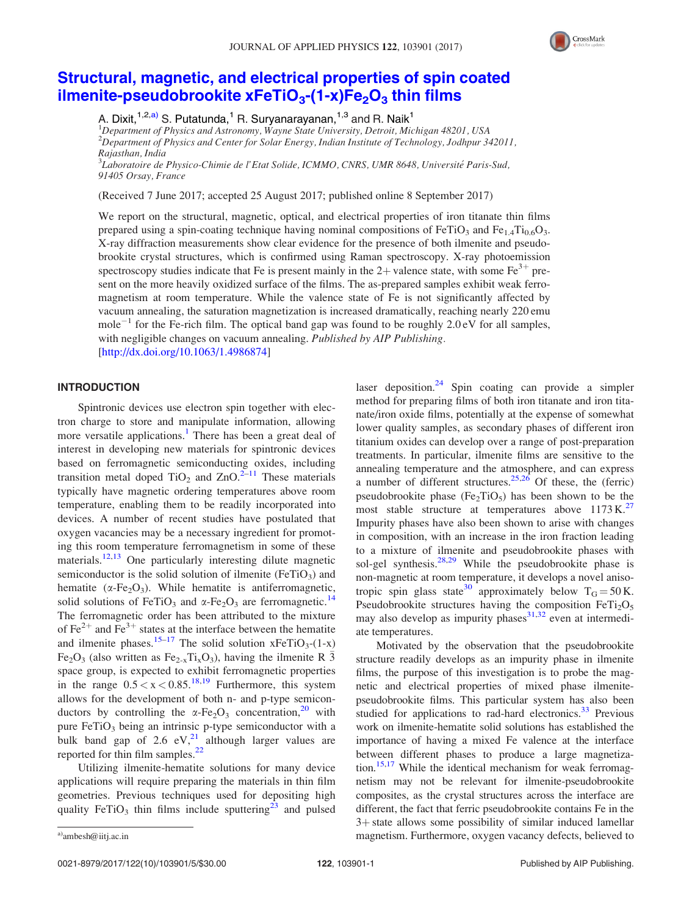

# Structural, magnetic, and electrical properties of spin coated ilmenite-pseudobrookite  $xFeTiO<sub>3</sub>- (1-x)Fe<sub>2</sub>O<sub>3</sub>$  thin films

A. Dixit,<sup>1,2,a)</sup> S. Putatunda,<sup>1</sup> R. Suryanarayanan,<sup>1,3</sup> and R. Naik<sup>1</sup>

<sup>1</sup>Department of Physics and Astronomy, Wayne State University, Detroit, Michigan 48201, USA  $^{2}$ Department of Physics and Center for Solar Energy, Indian Institute of Technology, Jodhpur 342011, Rajasthan, India  $^3$ Laboratoire de Physico-Chimie de l'Etat Solide, ICMMO, CNRS, UMR 8648, Université Paris-Sud,

91405 Orsay, France

(Received 7 June 2017; accepted 25 August 2017; published online 8 September 2017)

We report on the structural, magnetic, optical, and electrical properties of iron titanate thin films prepared using a spin-coating technique having nominal compositions of FeTiO<sub>3</sub> and Fe<sub>1.4</sub>Ti<sub>0.6</sub>O<sub>3</sub>. X-ray diffraction measurements show clear evidence for the presence of both ilmenite and pseudobrookite crystal structures, which is confirmed using Raman spectroscopy. X-ray photoemission spectroscopy studies indicate that Fe is present mainly in the 2+ valence state, with some  $Fe^{3+}$  present on the more heavily oxidized surface of the films. The as-prepared samples exhibit weak ferromagnetism at room temperature. While the valence state of Fe is not significantly affected by vacuum annealing, the saturation magnetization is increased dramatically, reaching nearly 220 emu mole<sup>-1</sup> for the Fe-rich film. The optical band gap was found to be roughly  $2.0 \text{ eV}$  for all samples, with negligible changes on vacuum annealing. Published by AIP Publishing. [http://dx.doi.org/10.1063/1.4986874]

INTRODUCTION

Spintronic devices use electron spin together with electron charge to store and manipulate information, allowing more versatile applications.<sup>1</sup> There has been a great deal of interest in developing new materials for spintronic devices based on ferromagnetic semiconducting oxides, including transition metal doped  $TiO<sub>2</sub>$  and  $ZnO.<sup>2–11</sup>$  These materials typically have magnetic ordering temperatures above room temperature, enabling them to be readily incorporated into devices. A number of recent studies have postulated that oxygen vacancies may be a necessary ingredient for promoting this room temperature ferromagnetism in some of these materials.<sup>12,13</sup> One particularly interesting dilute magnetic semiconductor is the solid solution of ilmenite  $(FeTiO<sub>3</sub>)$  and hematite ( $\alpha$ -Fe<sub>2</sub>O<sub>3</sub>). While hematite is antiferromagnetic, solid solutions of FeTiO<sub>3</sub> and  $\alpha$ -Fe<sub>2</sub>O<sub>3</sub> are ferromagnetic.<sup>14</sup> The ferromagnetic order has been attributed to the mixture of Fe<sup>2+</sup> and Fe<sup>3+</sup> states at the interface between the hematite and ilmenite phases.<sup>15–17</sup> The solid solution  $xFeTiO_3-(1-x)$ Fe<sub>2</sub>O<sub>3</sub> (also written as Fe<sub>2-x</sub>Ti<sub>x</sub>O<sub>3</sub>), having the ilmenite R  $\bar{3}$ space group, is expected to exhibit ferromagnetic properties in the range  $0.5 < x < 0.85$ .<sup>18,19</sup> Furthermore, this system allows for the development of both n- and p-type semiconductors by controlling the  $\alpha$ -Fe<sub>2</sub>O<sub>3</sub> concentration,<sup>20</sup> with pure  $FeTiO<sub>3</sub>$  being an intrinsic p-type semiconductor with a bulk band gap of 2.6  $eV<sub>1</sub><sup>21</sup>$  although larger values are reported for thin film samples.<sup>22</sup>

Utilizing ilmenite-hematite solutions for many device applications will require preparing the materials in thin film geometries. Previous techniques used for depositing high quality FeTiO<sub>3</sub> thin films include sputtering<sup>23</sup> and pulsed laser deposition.<sup>24</sup> Spin coating can provide a simpler method for preparing films of both iron titanate and iron titanate/iron oxide films, potentially at the expense of somewhat lower quality samples, as secondary phases of different iron titanium oxides can develop over a range of post-preparation treatments. In particular, ilmenite films are sensitive to the annealing temperature and the atmosphere, and can express a number of different structures.<sup>25,26</sup> Of these, the (ferric) pseudobrookite phase  $(F_{e_2}TiO_5)$  has been shown to be the most stable structure at temperatures above  $1173 \text{ K}^{27}$ Impurity phases have also been shown to arise with changes in composition, with an increase in the iron fraction leading to a mixture of ilmenite and pseudobrookite phases with sol-gel synthesis.<sup>28,29</sup> While the pseudobrookite phase is non-magnetic at room temperature, it develops a novel anisotropic spin glass state<sup>30</sup> approximately below  $T_G = 50 \text{ K}.$ Pseudobrookite structures having the composition FeTi<sub>2</sub>O<sub>5</sub> may also develop as impurity phases $31,32$  even at intermediate temperatures.

Motivated by the observation that the pseudobrookite structure readily develops as an impurity phase in ilmenite films, the purpose of this investigation is to probe the magnetic and electrical properties of mixed phase ilmenitepseudobrookite films. This particular system has also been studied for applications to rad-hard electronics. $33$  Previous work on ilmenite-hematite solid solutions has established the importance of having a mixed Fe valence at the interface between different phases to produce a large magnetization.<sup>15,17</sup> While the identical mechanism for weak ferromagnetism may not be relevant for ilmenite-pseudobrookite composites, as the crystal structures across the interface are different, the fact that ferric pseudobrookite contains Fe in the  $3+$  state allows some possibility of similar induced lamellar a)ambesh@iitj.ac.in and the magnetism. Furthermore, oxygen vacancy defects, believed to a)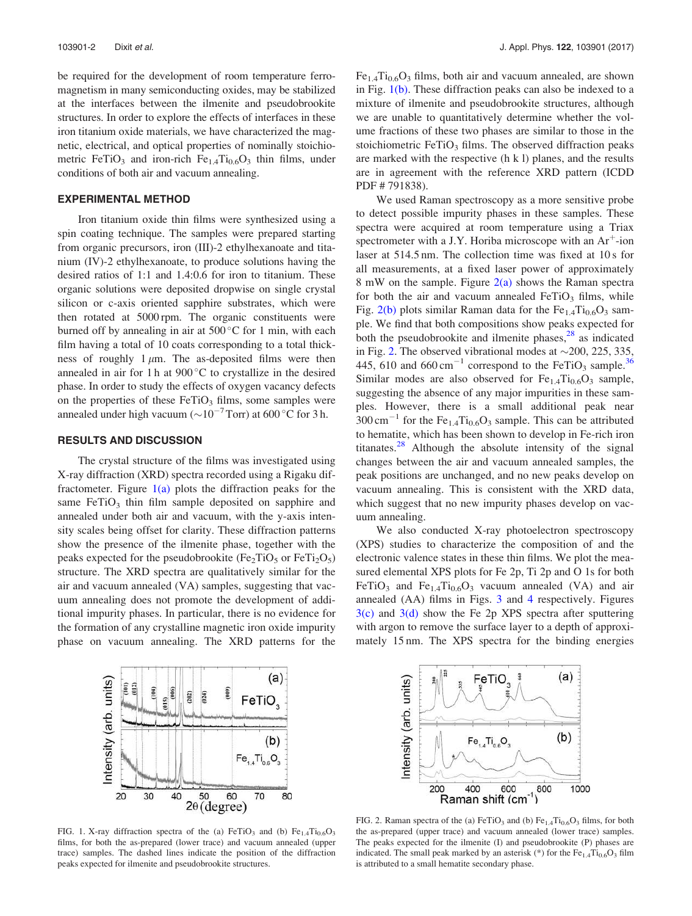be required for the development of room temperature ferromagnetism in many semiconducting oxides, may be stabilized at the interfaces between the ilmenite and pseudobrookite structures. In order to explore the effects of interfaces in these iron titanium oxide materials, we have characterized the magnetic, electrical, and optical properties of nominally stoichiometric FeTiO<sub>3</sub> and iron-rich  $Fe_{1.4}Ti_{0.6}O_3$  thin films, under conditions of both air and vacuum annealing.

#### EXPERIMENTAL METHOD

Iron titanium oxide thin films were synthesized using a spin coating technique. The samples were prepared starting from organic precursors, iron (III)-2 ethylhexanoate and titanium (IV)-2 ethylhexanoate, to produce solutions having the desired ratios of 1:1 and 1.4:0.6 for iron to titanium. These organic solutions were deposited dropwise on single crystal silicon or c-axis oriented sapphire substrates, which were then rotated at 5000 rpm. The organic constituents were burned off by annealing in air at  $500^{\circ}$ C for 1 min, with each film having a total of 10 coats corresponding to a total thickness of roughly  $1 \mu m$ . The as-deposited films were then annealed in air for 1 h at  $900\,^{\circ}$ C to crystallize in the desired phase. In order to study the effects of oxygen vacancy defects on the properties of these  $FeTiO<sub>3</sub>$  films, some samples were annealed under high vacuum ( $\sim 10^{-7}$  Torr) at 600 °C for 3 h.

## RESULTS AND DISCUSSION

The crystal structure of the films was investigated using X-ray diffraction (XRD) spectra recorded using a Rigaku diffractometer. Figure  $1(a)$  plots the diffraction peaks for the same FeTiO<sub>3</sub> thin film sample deposited on sapphire and annealed under both air and vacuum, with the y-axis intensity scales being offset for clarity. These diffraction patterns show the presence of the ilmenite phase, together with the peaks expected for the pseudobrookite ( $Fe<sub>2</sub>TiO<sub>5</sub>$  or  $FeTi<sub>2</sub>O<sub>5</sub>$ ) structure. The XRD spectra are qualitatively similar for the air and vacuum annealed (VA) samples, suggesting that vacuum annealing does not promote the development of additional impurity phases. In particular, there is no evidence for the formation of any crystalline magnetic iron oxide impurity phase on vacuum annealing. The XRD patterns for the



 $Fe_{1.4}Ti_{0.6}O_3$  films, both air and vacuum annealed, are shown in Fig. 1(b). These diffraction peaks can also be indexed to a mixture of ilmenite and pseudobrookite structures, although we are unable to quantitatively determine whether the volume fractions of these two phases are similar to those in the stoichiometric  $FeTiO<sub>3</sub>$  films. The observed diffraction peaks are marked with the respective (h k l) planes, and the results are in agreement with the reference XRD pattern (ICDD PDF # 791838).

We used Raman spectroscopy as a more sensitive probe to detect possible impurity phases in these samples. These spectra were acquired at room temperature using a Triax spectrometer with a J.Y. Horiba microscope with an  $Ar^+$ -ion laser at 514.5 nm. The collection time was fixed at 10 s for all measurements, at a fixed laser power of approximately 8 mW on the sample. Figure  $2(a)$  shows the Raman spectra for both the air and vacuum annealed  $FeTiO<sub>3</sub>$  films, while Fig.  $2(b)$  plots similar Raman data for the Fe<sub>1.4</sub>Ti<sub>0.6</sub>O<sub>3</sub> sample. We find that both compositions show peaks expected for both the pseudobrookite and ilmenite phases, $^{28}$  as indicated in Fig. 2. The observed vibrational modes at  $\sim$  200, 225, 335, 445, 610 and 660 cm<sup>-1</sup> correspond to the FeTiO<sub>3</sub> sample.<sup>36</sup> Similar modes are also observed for  $Fe<sub>1.4</sub>Ti<sub>0.6</sub>O<sub>3</sub>$  sample, suggesting the absence of any major impurities in these samples. However, there is a small additional peak near  $300 \text{ cm}^{-1}$  for the Fe<sub>1.4</sub>Ti<sub>0.6</sub>O<sub>3</sub> sample. This can be attributed to hematite, which has been shown to develop in Fe-rich iron titanates. $^{28}$  Although the absolute intensity of the signal changes between the air and vacuum annealed samples, the peak positions are unchanged, and no new peaks develop on vacuum annealing. This is consistent with the XRD data, which suggest that no new impurity phases develop on vacuum annealing.

We also conducted X-ray photoelectron spectroscopy (XPS) studies to characterize the composition of and the electronic valence states in these thin films. We plot the measured elemental XPS plots for Fe 2p, Ti 2p and O 1s for both FeTiO<sub>3</sub> and Fe<sub>1.4</sub>Ti<sub>0.6</sub>O<sub>3</sub> vacuum annealed (VA) and air annealed (AA) films in Figs. 3 and 4 respectively. Figures  $3(c)$  and  $3(d)$  show the Fe 2p XPS spectra after sputtering with argon to remove the surface layer to a depth of approximately 15 nm. The XPS spectra for the binding energies



FIG. 1. X-ray diffraction spectra of the (a) FeTiO<sub>3</sub> and (b)  $Fe_{1.4}Ti_{0.6}O_3$ films, for both the as-prepared (lower trace) and vacuum annealed (upper trace) samples. The dashed lines indicate the position of the diffraction peaks expected for ilmenite and pseudobrookite structures.



FIG. 2. Raman spectra of the (a)  $FeTiO<sub>3</sub>$  and (b)  $Fe<sub>1.4</sub>Ti<sub>0.6</sub>O<sub>3</sub>$  films, for both the as-prepared (upper trace) and vacuum annealed (lower trace) samples. The peaks expected for the ilmenite (I) and pseudobrookite (P) phases are indicated. The small peak marked by an asterisk (\*) for the  $Fe<sub>1.4</sub>Ti<sub>0.6</sub>O<sub>3</sub>$  film is attributed to a small hematite secondary phase.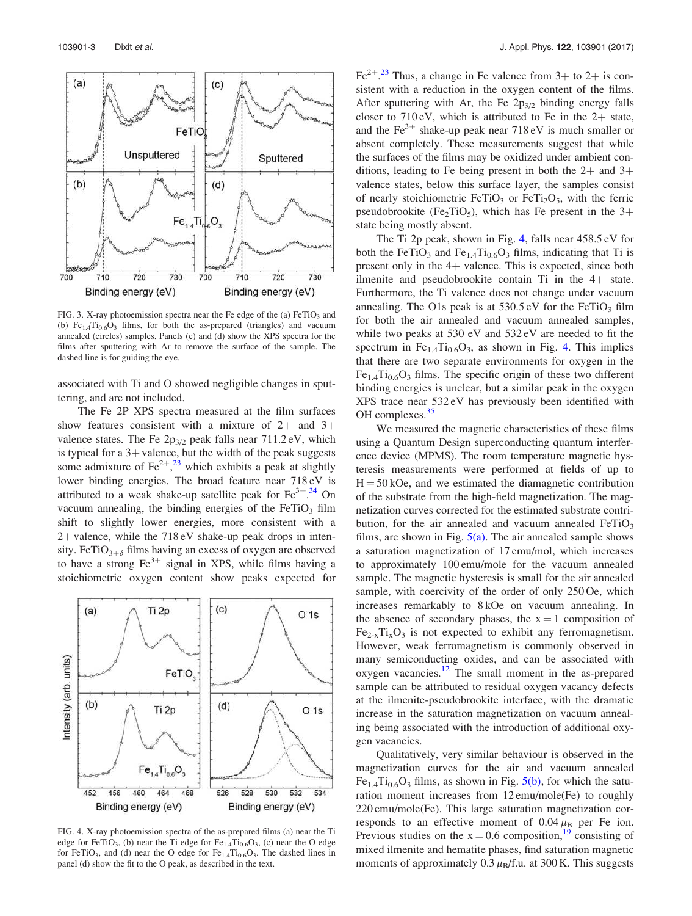

FIG. 3. X-ray photoemission spectra near the Fe edge of the (a)  $FeTiO<sub>3</sub>$  and (b)  $Fe_{1.4}Ti_{0.6}O_3$  films, for both the as-prepared (triangles) and vacuum annealed (circles) samples. Panels (c) and (d) show the XPS spectra for the films after sputtering with Ar to remove the surface of the sample. The dashed line is for guiding the eye.

associated with Ti and O showed negligible changes in sputtering, and are not included.

The Fe 2P XPS spectra measured at the film surfaces show features consistent with a mixture of  $2+$  and  $3+$ valence states. The Fe  $2p_{3/2}$  peak falls near 711.2 eV, which is typical for a  $3+$  valence, but the width of the peak suggests some admixture of  $\text{Fe}^{2+}$ ,<sup>23</sup> which exhibits a peak at slightly lower binding energies. The broad feature near 718 eV is attributed to a weak shake-up satellite peak for  $Fe^{3+34}$  On vacuum annealing, the binding energies of the  $FeTiO<sub>3</sub>$  film shift to slightly lower energies, more consistent with a  $2+$  valence, while the  $718 \text{ eV}$  shake-up peak drops in intensity. FeTiO<sub>3+ $\delta$ </sub> films having an excess of oxygen are observed to have a strong  $Fe^{3+}$  signal in XPS, while films having a stoichiometric oxygen content show peaks expected for



FIG. 4. X-ray photoemission spectra of the as-prepared films (a) near the Ti edge for FeTiO<sub>3</sub>, (b) near the Ti edge for  $Fe_{1.4}Ti_{0.6}O_3$ , (c) near the O edge for FeTiO<sub>3</sub>, and (d) near the O edge for  $Fe<sub>1.4</sub>Ti<sub>0.6</sub>O<sub>3</sub>$ . The dashed lines in panel (d) show the fit to the O peak, as described in the text.

Fe<sup>2+ 23</sup> Thus, a change in Fe valence from  $3+$  to  $2+$  is consistent with a reduction in the oxygen content of the films. After sputtering with Ar, the Fe  $2p_{3/2}$  binding energy falls closer to  $710 \text{ eV}$ , which is attributed to Fe in the  $2+$  state, and the  $Fe^{3+}$  shake-up peak near 718 eV is much smaller or absent completely. These measurements suggest that while the surfaces of the films may be oxidized under ambient conditions, leading to Fe being present in both the  $2+$  and  $3+$ valence states, below this surface layer, the samples consist of nearly stoichiometric FeTiO<sub>3</sub> or FeTi<sub>2</sub>O<sub>5</sub>, with the ferric pseudobrookite (Fe<sub>2</sub>TiO<sub>5</sub>), which has Fe present in the  $3+$ state being mostly absent.

The Ti 2p peak, shown in Fig. 4, falls near 458.5 eV for both the FeTiO<sub>3</sub> and Fe<sub>1.4</sub>Ti<sub>0.6</sub>O<sub>3</sub> films, indicating that Ti is present only in the  $4+$  valence. This is expected, since both ilmenite and pseudobrookite contain  $Ti$  in the  $4+$  state. Furthermore, the Ti valence does not change under vacuum annealing. The O1s peak is at  $530.5 \,\mathrm{eV}$  for the FeTiO<sub>3</sub> film for both the air annealed and vacuum annealed samples, while two peaks at 530 eV and 532 eV are needed to fit the spectrum in  $Fe_{1.4}Ti_{0.6}O_3$ , as shown in Fig. 4. This implies that there are two separate environments for oxygen in the  $Fe_{1.4}Ti_{0.6}O_3$  films. The specific origin of these two different binding energies is unclear, but a similar peak in the oxygen XPS trace near 532 eV has previously been identified with OH complexes.<sup>35</sup>

We measured the magnetic characteristics of these films using a Quantum Design superconducting quantum interference device (MPMS). The room temperature magnetic hysteresis measurements were performed at fields of up to  $H = 50 kOe$ , and we estimated the diamagnetic contribution of the substrate from the high-field magnetization. The magnetization curves corrected for the estimated substrate contribution, for the air annealed and vacuum annealed  $FeTiO<sub>3</sub>$ films, are shown in Fig.  $5(a)$ . The air annealed sample shows a saturation magnetization of 17 emu/mol, which increases to approximately 100 emu/mole for the vacuum annealed sample. The magnetic hysteresis is small for the air annealed sample, with coercivity of the order of only 250 Oe, which increases remarkably to 8 kOe on vacuum annealing. In the absence of secondary phases, the  $x = 1$  composition of  $Fe_{2-x}Ti_xO_3$  is not expected to exhibit any ferromagnetism. However, weak ferromagnetism is commonly observed in many semiconducting oxides, and can be associated with oxygen vacancies. $12$  The small moment in the as-prepared sample can be attributed to residual oxygen vacancy defects at the ilmenite-pseudobrookite interface, with the dramatic increase in the saturation magnetization on vacuum annealing being associated with the introduction of additional oxygen vacancies.

Qualitatively, very similar behaviour is observed in the magnetization curves for the air and vacuum annealed  $Fe_{1.4}Ti_{0.6}O_3$  films, as shown in Fig.  $5(b)$ , for which the saturation moment increases from 12 emu/mole(Fe) to roughly 220 emu/mole(Fe). This large saturation magnetization corresponds to an effective moment of  $0.04 \mu_{\text{B}}$  per Fe ion. Previous studies on the  $x = 0.6$  composition,<sup>19</sup> consisting of mixed ilmenite and hematite phases, find saturation magnetic moments of approximately  $0.3 \mu_B/f.u.$  at 300 K. This suggests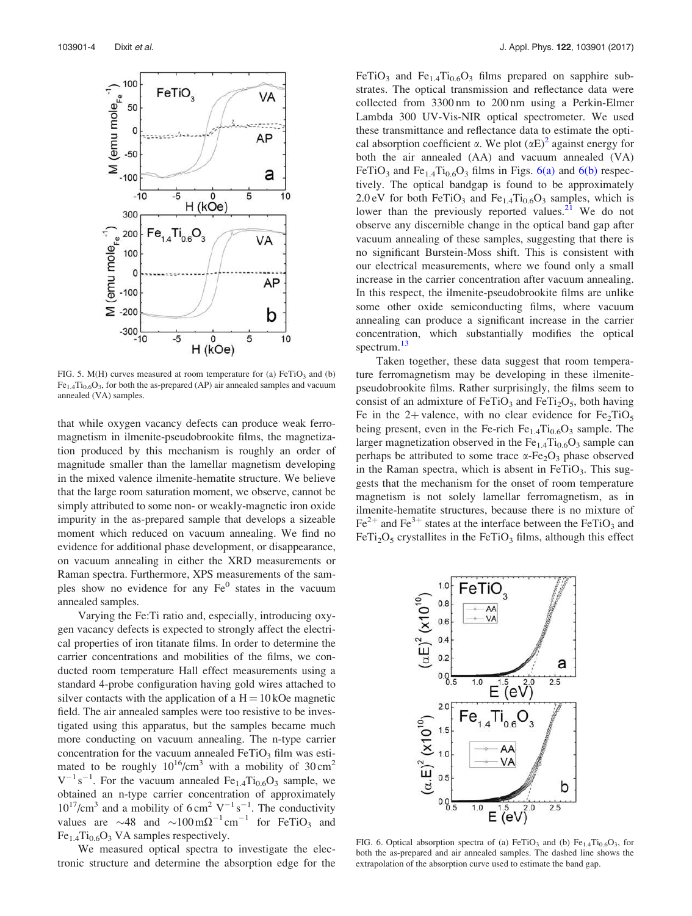

FIG. 5. M(H) curves measured at room temperature for (a)  $FeTiO<sub>3</sub>$  and (b)  $Fe<sub>1.4</sub>Ti<sub>0.6</sub>O<sub>3</sub>$ , for both the as-prepared (AP) air annealed samples and vacuum annealed (VA) samples.

that while oxygen vacancy defects can produce weak ferromagnetism in ilmenite-pseudobrookite films, the magnetization produced by this mechanism is roughly an order of magnitude smaller than the lamellar magnetism developing in the mixed valence ilmenite-hematite structure. We believe that the large room saturation moment, we observe, cannot be simply attributed to some non- or weakly-magnetic iron oxide impurity in the as-prepared sample that develops a sizeable moment which reduced on vacuum annealing. We find no evidence for additional phase development, or disappearance, on vacuum annealing in either the XRD measurements or Raman spectra. Furthermore, XPS measurements of the samples show no evidence for any  $Fe<sup>0</sup>$  states in the vacuum annealed samples.

Varying the Fe:Ti ratio and, especially, introducing oxygen vacancy defects is expected to strongly affect the electrical properties of iron titanate films. In order to determine the carrier concentrations and mobilities of the films, we conducted room temperature Hall effect measurements using a standard 4-probe configuration having gold wires attached to silver contacts with the application of a  $H = 10 kOe$  magnetic field. The air annealed samples were too resistive to be investigated using this apparatus, but the samples became much more conducting on vacuum annealing. The n-type carrier concentration for the vacuum annealed  $FeTiO<sub>3</sub>$  film was estimated to be roughly  $10^{16}$ /cm<sup>3</sup> with a mobility of  $30 \text{ cm}^2$  $V^{-1}$ s<sup>-1</sup>. For the vacuum annealed Fe<sub>1.4</sub>Ti<sub>0.6</sub>O<sub>3</sub> sample, we obtained an n-type carrier concentration of approximately  $10^{17}$ /cm<sup>3</sup> and a mobility of 6 cm<sup>2</sup> V<sup>-1</sup> s<sup>-1</sup>. The conductivity values are  $\sim$ 48 and  $\sim$ 100 m $\Omega^{-1}$ cm<sup>-1</sup> for FeTiO<sub>3</sub> and  $Fe_{1.4}Ti_{0.6}O_3$  VA samples respectively.

We measured optical spectra to investigate the electronic structure and determine the absorption edge for the FeTiO<sub>3</sub> and Fe<sub>1.4</sub>Ti<sub>0.6</sub>O<sub>3</sub> films prepared on sapphire substrates. The optical transmission and reflectance data were collected from 3300 nm to 200 nm using a Perkin-Elmer Lambda 300 UV-Vis-NIR optical spectrometer. We used these transmittance and reflectance data to estimate the optical absorption coefficient  $\alpha$ . We plot  $(\alpha E)^2$  against energy for both the air annealed (AA) and vacuum annealed (VA) FeTiO<sub>3</sub> and Fe<sub>1.4</sub>Ti<sub>0.6</sub>O<sub>3</sub> films in Figs. 6(a) and 6(b) respectively. The optical bandgap is found to be approximately 2.0 eV for both FeTiO<sub>3</sub> and Fe<sub>1.4</sub>Ti<sub>0.6</sub>O<sub>3</sub> samples, which is lower than the previously reported values. $21$  We do not observe any discernible change in the optical band gap after vacuum annealing of these samples, suggesting that there is no significant Burstein-Moss shift. This is consistent with our electrical measurements, where we found only a small increase in the carrier concentration after vacuum annealing. In this respect, the ilmenite-pseudobrookite films are unlike some other oxide semiconducting films, where vacuum annealing can produce a significant increase in the carrier concentration, which substantially modifies the optical spectrum.<sup>13</sup>

Taken together, these data suggest that room temperature ferromagnetism may be developing in these ilmenitepseudobrookite films. Rather surprisingly, the films seem to consist of an admixture of FeTiO<sub>3</sub> and FeTi<sub>2</sub>O<sub>5</sub>, both having Fe in the 2+ valence, with no clear evidence for  $Fe<sub>2</sub>TiO<sub>5</sub>$ being present, even in the Fe-rich  $Fe_{1.4}Ti_{0.6}O_3$  sample. The larger magnetization observed in the  $Fe<sub>1.4</sub>Ti<sub>0.6</sub>O<sub>3</sub>$  sample can perhaps be attributed to some trace  $\alpha$ -Fe<sub>2</sub>O<sub>3</sub> phase observed in the Raman spectra, which is absent in  $FeTiO<sub>3</sub>$ . This suggests that the mechanism for the onset of room temperature magnetism is not solely lamellar ferromagnetism, as in ilmenite-hematite structures, because there is no mixture of  $\text{Fe}^{2+}$  and  $\text{Fe}^{3+}$  states at the interface between the FeTiO<sub>3</sub> and  $FeTi<sub>2</sub>O<sub>5</sub>$  crystallites in the FeTiO<sub>3</sub> films, although this effect



FIG. 6. Optical absorption spectra of (a)  $FeTiO<sub>3</sub>$  and (b)  $Fe<sub>1.4</sub>Ti<sub>0.6</sub>O<sub>3</sub>$ , for both the as-prepared and air annealed samples. The dashed line shows the extrapolation of the absorption curve used to estimate the band gap.